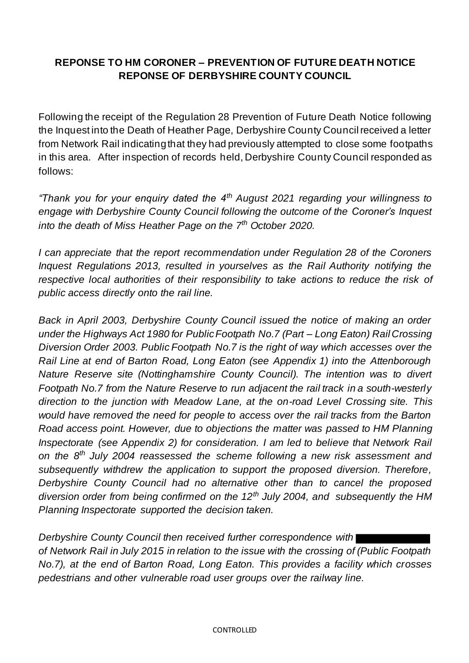## **REPONSE TO HM CORONER – PREVENTION OF FUTURE DEATH NOTICE REPONSE OF DERBYSHIRE COUNTY COUNCIL**

Following the receipt of the Regulation 28 Prevention of Future Death Notice following the Inquest into the Death of Heather Page, Derbyshire County Council received a letter from Network Rail indicating that they had previously attempted to close some footpaths in this area. After inspection of records held, Derbyshire County Council responded as follows:

*"Thank you for your enquiry dated the 4th August 2021 regarding your willingness to engage with Derbyshire County Council following the outcome of the Coroner's Inquest into the death of Miss Heather Page on the 7th October 2020.*

*I can appreciate that the report recommendation under Regulation 28 of the Coroners Inquest Regulations 2013, resulted in yourselves as the Rail Authority notifying the respective local authorities of their responsibility to take actions to reduce the risk of public access directly onto the rail line.* 

*Back in April 2003, Derbyshire County Council issued the notice of making an order under the Highways Act 1980 for Public Footpath No.7 (Part – Long Eaton) Rail Crossing Diversion Order 2003. Public Footpath No.7 is the right of way which accesses over the Rail Line at end of Barton Road, Long Eaton (see Appendix 1) into the Attenborough Nature Reserve site (Nottinghamshire County Council). The intention was to divert Footpath No.7 from the Nature Reserve to run adjacent the rail track in a south-westerly direction to the junction with Meadow Lane, at the on-road Level Crossing site. This would have removed the need for people to access over the rail tracks from the Barton Road access point. However, due to objections the matter was passed to HM Planning Inspectorate (see Appendix 2) for consideration. I am led to believe that Network Rail on the 8th July 2004 reassessed the scheme following a new risk assessment and subsequently withdrew the application to support the proposed diversion. Therefore, Derbyshire County Council had no alternative other than to cancel the proposed diversion order from being confirmed on the 12th July 2004, and subsequently the HM Planning Inspectorate supported the decision taken.*

*Derbyshire County Council then received further correspondence with of Network Rail in July 2015 in relation to the issue with the crossing of (Public Footpath No.7), at the end of Barton Road, Long Eaton. This provides a facility which crosses pedestrians and other vulnerable road user groups over the railway line.*